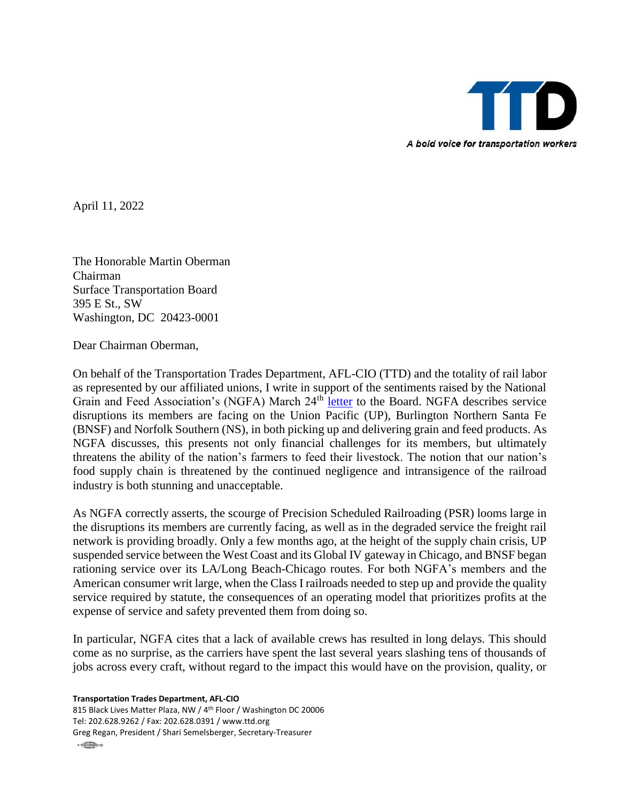

April 11, 2022

The Honorable Martin Oberman Chairman Surface Transportation Board 395 E St., SW Washington, DC 20423-0001

Dear Chairman Oberman,

On behalf of the Transportation Trades Department, AFL-CIO (TTD) and the totality of rail labor as represented by our affiliated unions, I write in support of the sentiments raised by the National Grain and Feed Association's (NGFA) March 24th [letter](https://www.stb.gov/wp-content/uploads/NGFA-Letter-to-STB-Chairman-Oberman-on-Rail-Service-and-Precision-Scheduled-Railroading-March-24-2022.pdf) to the Board. NGFA describes service disruptions its members are facing on the Union Pacific (UP), Burlington Northern Santa Fe (BNSF) and Norfolk Southern (NS), in both picking up and delivering grain and feed products. As NGFA discusses, this presents not only financial challenges for its members, but ultimately threatens the ability of the nation's farmers to feed their livestock. The notion that our nation's food supply chain is threatened by the continued negligence and intransigence of the railroad industry is both stunning and unacceptable.

As NGFA correctly asserts, the scourge of Precision Scheduled Railroading (PSR) looms large in the disruptions its members are currently facing, as well as in the degraded service the freight rail network is providing broadly. Only a few months ago, at the height of the supply chain crisis, UP suspended service between the West Coast and its Global IV gateway in Chicago, and BNSF began rationing service over its LA/Long Beach-Chicago routes. For both NGFA's members and the American consumer writ large, when the Class I railroads needed to step up and provide the quality service required by statute, the consequences of an operating model that prioritizes profits at the expense of service and safety prevented them from doing so.

In particular, NGFA cites that a lack of available crews has resulted in long delays. This should come as no surprise, as the carriers have spent the last several years slashing tens of thousands of jobs across every craft, without regard to the impact this would have on the provision, quality, or

**Transportation Trades Department, AFL-CIO**

815 Black Lives Matter Plaza, NW / 4th Floor / Washington DC 20006 Tel: 202.628.9262 / Fax: 202.628.0391 / www.ttd.org Greg Regan, President / Shari Semelsberger, Secretary-Treasurer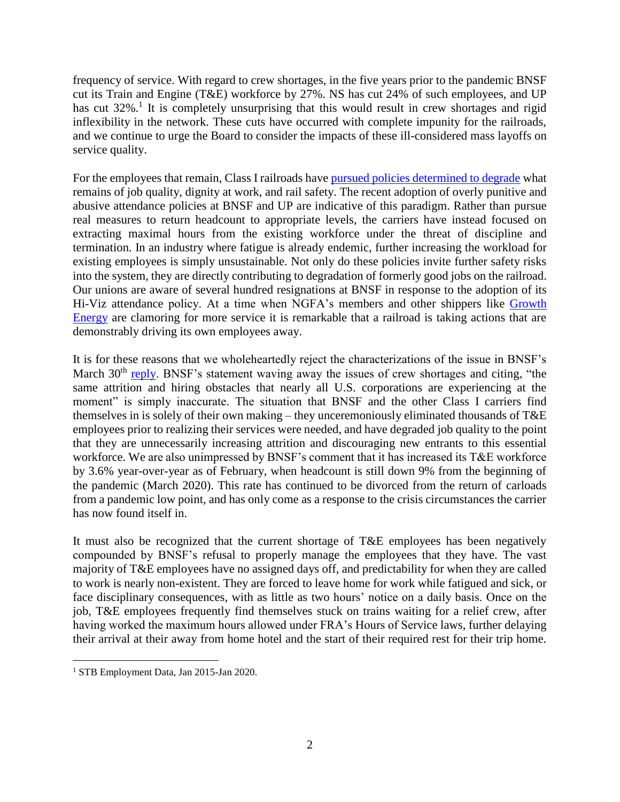frequency of service. With regard to crew shortages, in the five years prior to the pandemic BNSF cut its Train and Engine (T&E) workforce by 27%. NS has cut 24% of such employees, and UP has cut 32%.<sup>1</sup> It is completely unsurprising that this would result in crew shortages and rigid inflexibility in the network. These cuts have occurred with complete impunity for the railroads, and we continue to urge the Board to consider the impacts of these ill-considered mass layoffs on service quality.

For the employees that remain, Class I railroads have [pursued policies determined to degrade](https://ttd.org/policy/policy-statements/opposing-abusive-railroad-attendance-policies/) what remains of job quality, dignity at work, and rail safety. The recent adoption of overly punitive and abusive attendance policies at BNSF and UP are indicative of this paradigm. Rather than pursue real measures to return headcount to appropriate levels, the carriers have instead focused on extracting maximal hours from the existing workforce under the threat of discipline and termination. In an industry where fatigue is already endemic, further increasing the workload for existing employees is simply unsustainable. Not only do these policies invite further safety risks into the system, they are directly contributing to degradation of formerly good jobs on the railroad. Our unions are aware of several hundred resignations at BNSF in response to the adoption of its Hi-Viz attendance policy. At a time when NGFA's members and other shippers like [Growth](https://growthenergy.org/wp-content/uploads/2022/04/RailServiceIssuesSTBApril082022.pdf)  [Energy](https://growthenergy.org/wp-content/uploads/2022/04/RailServiceIssuesSTBApril082022.pdf) are clamoring for more service it is remarkable that a railroad is taking actions that are demonstrably driving its own employees away.

It is for these reasons that we wholeheartedly reject the characterizations of the issue in BNSF's March 30<sup>th</sup> [reply.](https://www.stb.gov/wp-content/uploads/BNSF-response-to-NGFA-03302022.pdf) BNSF's statement waving away the issues of crew shortages and citing, "the same attrition and hiring obstacles that nearly all U.S. corporations are experiencing at the moment" is simply inaccurate. The situation that BNSF and the other Class I carriers find themselves in is solely of their own making – they unceremoniously eliminated thousands of T&E employees prior to realizing their services were needed, and have degraded job quality to the point that they are unnecessarily increasing attrition and discouraging new entrants to this essential workforce. We are also unimpressed by BNSF's comment that it has increased its T&E workforce by 3.6% year-over-year as of February, when headcount is still down 9% from the beginning of the pandemic (March 2020). This rate has continued to be divorced from the return of carloads from a pandemic low point, and has only come as a response to the crisis circumstances the carrier has now found itself in.

It must also be recognized that the current shortage of T&E employees has been negatively compounded by BNSF's refusal to properly manage the employees that they have. The vast majority of T&E employees have no assigned days off, and predictability for when they are called to work is nearly non-existent. They are forced to leave home for work while fatigued and sick, or face disciplinary consequences, with as little as two hours' notice on a daily basis. Once on the job, T&E employees frequently find themselves stuck on trains waiting for a relief crew, after having worked the maximum hours allowed under FRA's Hours of Service laws, further delaying their arrival at their away from home hotel and the start of their required rest for their trip home.

 $\overline{a}$ 

<sup>1</sup> STB Employment Data, Jan 2015-Jan 2020.